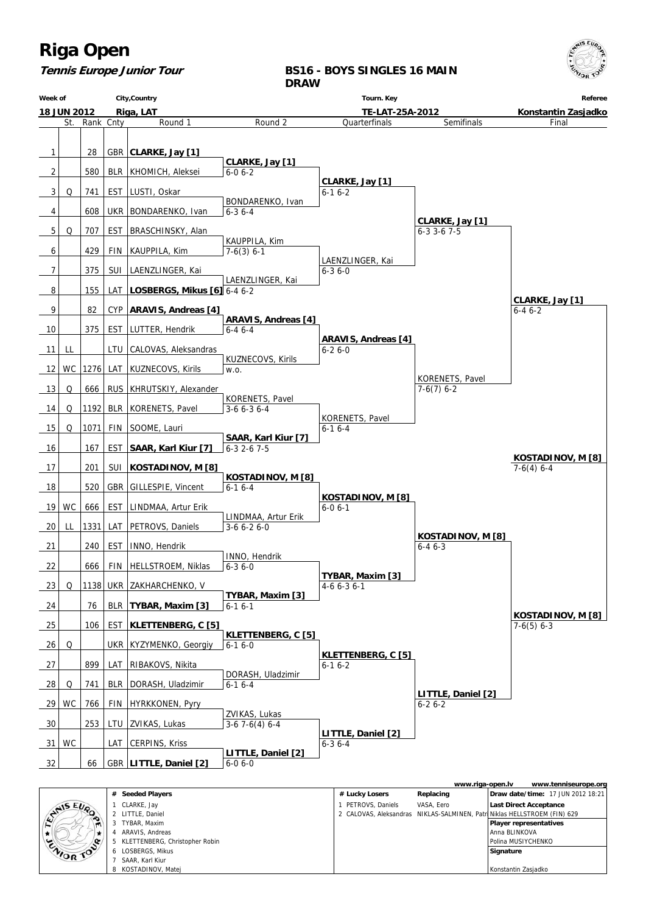

**Tennis Europe Junior Tour**

**BS16 - BOYS SINGLES 16 MAIN DRAW**

| Week of            |     |           |            | City, Country                     |                                    | Tourn. Key                        |                                   | Referee             |
|--------------------|-----|-----------|------------|-----------------------------------|------------------------------------|-----------------------------------|-----------------------------------|---------------------|
| <b>18 JUN 2012</b> |     |           |            | Riga, LAT                         |                                    | TE-LAT-25A-2012                   |                                   | Konstantin Zasjadko |
|                    | St. | Rank Cnty |            | Round 1                           | Round 2                            | Quarterfinals                     | Semifinals                        | Final               |
| 1                  |     | 28        |            | GBR   CLARKE, Jay [1]             |                                    |                                   |                                   |                     |
| 2                  |     | 580       |            | BLR   KHOMICH, Aleksei            | CLARKE, Jay [1]<br>$6 - 06 - 2$    |                                   |                                   |                     |
|                    |     |           |            |                                   |                                    | CLARKE, Jay [1]                   |                                   |                     |
| 3                  | Q   | 741       |            | EST   LUSTI, Oskar                |                                    | $6 - 16 - 2$                      |                                   |                     |
| 4                  |     | 608       |            | UKR   BONDARENKO, Ivan            | BONDARENKO, Ivan<br>$6 - 36 - 4$   |                                   |                                   |                     |
|                    |     |           |            |                                   |                                    |                                   | CLARKE, Jay [1]                   |                     |
| 5                  | Q   | 707       | EST        | BRASCHINSKY, Alan                 |                                    |                                   | $6 - 3$ 3 $-6$ 7 $-5$             |                     |
| 6                  |     | 429       |            | FIN   KAUPPILA, Kim               | KAUPPILA, Kim<br>$7-6(3)$ 6-1      |                                   |                                   |                     |
|                    |     |           |            |                                   |                                    | LAENZLINGER, Kai                  |                                   |                     |
| 7                  |     | 375       |            | SUI   LAENZLINGER, Kai            | LAENZLINGER, Kai                   | $6 - 36 - 0$                      |                                   |                     |
| 8                  |     | 155       |            | LAT   LOSBERGS, Mikus [6] 6-4 6-2 |                                    |                                   |                                   |                     |
|                    |     |           |            |                                   |                                    |                                   |                                   | CLARKE, Jay [1]     |
| 9                  |     | 82        |            | CYP   ARAVIS, Andreas [4]         | <b>ARAVIS, Andreas [4]</b>         |                                   |                                   | $6 - 46 - 2$        |
| 10                 |     | 375       |            | EST   LUTTER, Hendrik             | $6 - 46 - 4$                       |                                   |                                   |                     |
|                    |     |           |            |                                   |                                    | <b>ARAVIS, Andreas [4]</b>        |                                   |                     |
| 11                 | LL  |           |            | LTU   CALOVAS, Aleksandras        | KUZNECOVS, Kirils                  | $6 - 26 - 0$                      |                                   |                     |
| 12                 | WC. |           |            | 1276 LAT KUZNECOVS, Kirils        | W.O.                               |                                   |                                   |                     |
|                    |     |           |            |                                   |                                    |                                   | KORENETS, Pavel                   |                     |
| 13                 | Q   | 666       |            | RUS   KHRUTSKIY, Alexander        | KORENETS, Pavel                    |                                   | $7-6(7)$ 6-2                      |                     |
| 14                 | Q   |           |            | 1192 BLR   KORENETS, Pavel        | $3-66-36-4$                        |                                   |                                   |                     |
|                    |     |           |            |                                   |                                    | KORENETS, Pavel                   |                                   |                     |
| 15                 | Q   | 1071      |            | FIN SOOME, Lauri                  | SAAR, Karl Kiur [7]                | $6 - 16 - 4$                      |                                   |                     |
| 16                 |     | 167       | <b>EST</b> | SAAR, Karl Kiur [7]               | $6-3$ 2-6 7-5                      |                                   |                                   |                     |
| 17                 |     | 201       | SUI        | KOSTADINOV, M [8]                 |                                    |                                   |                                   | KOSTADINOV, M [8]   |
|                    |     |           |            |                                   | KOSTADINOV, M [8]                  |                                   |                                   | $7-6(4)$ 6-4        |
| 18                 |     | 520       |            | GBR   GILLESPIE, Vincent          | $6-16-4$                           |                                   |                                   |                     |
| 19                 | WC  | 666       |            | EST   LINDMAA, Artur Erik         |                                    | KOSTADINOV, M [8]<br>$6 - 06 - 1$ |                                   |                     |
|                    |     |           |            |                                   | LINDMAA, Artur Erik                |                                   |                                   |                     |
| 20                 | LL  | 1331      |            | LAT   PETROVS, Daniels            | $3-66-26-0$                        |                                   |                                   |                     |
| 21                 |     | 240       | EST        | INNO, Hendrik                     |                                    |                                   | KOSTADINOV, M [8]<br>$6 - 46 - 3$ |                     |
|                    |     |           |            |                                   | <b>INNO, Hendrik</b>               |                                   |                                   |                     |
| 22                 |     | 666       | FIN        | HELLSTROEM, Niklas                | $6 - 36 - 0$                       |                                   |                                   |                     |
| 23                 | Q   |           |            | 1138  UKR   ZAKHARCHENKO, V       |                                    | TYBAR, Maxim [3]<br>$4-66-36-1$   |                                   |                     |
|                    |     |           |            |                                   | TYBAR, Maxim [3]                   |                                   |                                   |                     |
| 24                 |     | 76        |            | BLR   TYBAR, Maxim [3]            | $6 - 16 - 1$                       |                                   |                                   | KOSTADINOV, M [8]   |
| 25                 |     | 106       |            | EST   KLETTENBERG, C [5]          |                                    |                                   |                                   | $7-6(5)$ 6-3        |
|                    |     |           |            |                                   | <b>KLETTENBERG, C [5]</b>          |                                   |                                   |                     |
| 26                 | Q   |           |            | UKR   KYZYMENKO, Georgiy          | $6-16-0$                           | KLETTENBERG, C [5]                |                                   |                     |
| 27                 |     | 899       |            | LAT   RIBAKOVS, Nikita            |                                    | $6 - 16 - 2$                      |                                   |                     |
|                    |     |           |            |                                   | DORASH, Uladzimir                  |                                   |                                   |                     |
| 28                 | Q   | 741       |            | BLR   DORASH, Uladzimir           | $6-16-4$                           |                                   | LITTLE, Daniel [2]                |                     |
| 29                 | WC  | 766       | FIN        | HYRKKONEN, Pyry                   |                                    |                                   | $6 - 26 - 2$                      |                     |
|                    |     |           |            |                                   | ZVIKAS, Lukas                      |                                   |                                   |                     |
| 30                 |     | 253       | LTU        | ZVIKAS, Lukas                     | $3-67-6(4)6-4$                     | LITTLE, Daniel [2]                |                                   |                     |
| 31                 | WC  |           | LAT        | CERPINS, Kriss                    |                                    | $6 - 36 - 4$                      |                                   |                     |
| 32                 |     | 66        |            | GBR   LITTLE, Daniel [2]          | LITTLE, Daniel [2]<br>$6 - 06 - 0$ |                                   |                                   |                     |
|                    |     |           |            |                                   |                                    |                                   |                                   |                     |

|                  |                                  |                                                                           | www.riga-open.ly |                               | www.tenniseurope.org                     |
|------------------|----------------------------------|---------------------------------------------------------------------------|------------------|-------------------------------|------------------------------------------|
|                  | # Seeded Players                 | # Lucky Losers                                                            | Replacing        |                               | <b>Draw date/time: 17 JUN 2012 18:21</b> |
| <b>STAIS EUP</b> | CLARKE, Jay                      | PETROVS, Daniels                                                          | VASA. Eero       | <b>Last Direct Acceptance</b> |                                          |
|                  | 2 LITTLE, Daniel                 | 2 CALOVAS, Aleksandras NIKLAS-SALMINEN, Patri Niklas HELLSTROEM (FIN) 629 |                  |                               |                                          |
| ∼                | TYBAR, Maxim                     |                                                                           |                  | Player representatives        |                                          |
|                  | ARAVIS, Andreas                  |                                                                           |                  | Anna BLINKOVA                 |                                          |
| ENIOR TOP        | 5 KLETTENBERG, Christopher Robin |                                                                           |                  | Polina MUSIYCHENKO            |                                          |
|                  | 6 LOSBERGS, Mikus                |                                                                           |                  | Signature                     |                                          |
|                  | SAAR, Karl Kiur                  |                                                                           |                  |                               |                                          |
|                  | 8 KOSTADINOV, Matej              |                                                                           |                  | l Konstantin Zasiadko         |                                          |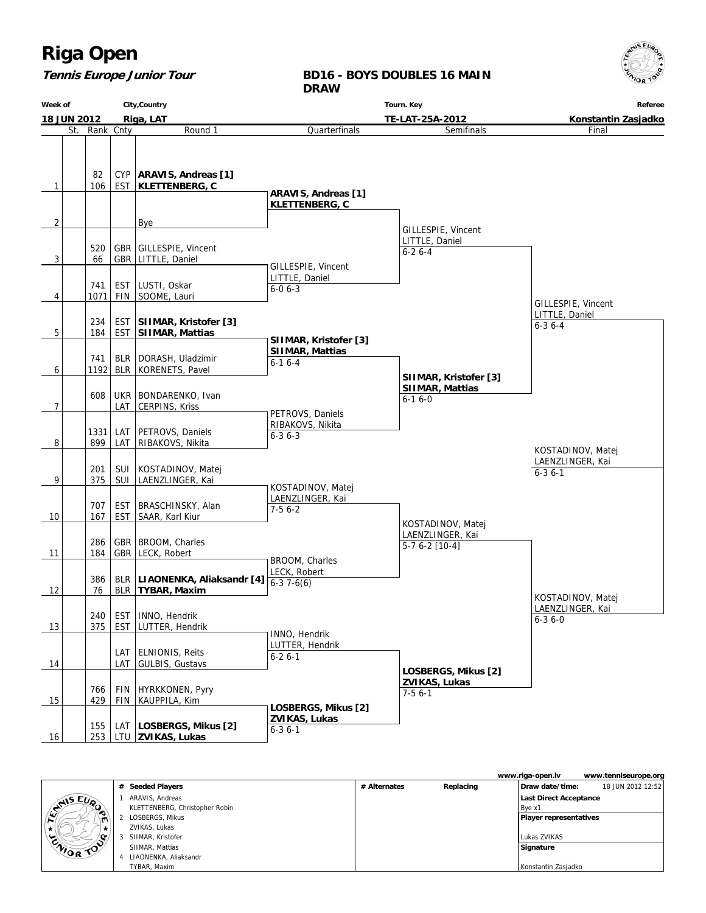#### **Tennis Europe Junior Tour**

#### **BD16 - BOYS DOUBLES 16 MAIN DRAW**

**Week of 18 JUN 2012 City,Country Riga, LAT Tourn. Key TE-LAT-25A-2012 Referee Konstantin Zasjadko** St. Rank Cnty **Round 1**  $1$  | 106 82 EST CYP | ARAVIS, Andreas [1]  **KLETTENBERG, C**  $2$  | | | | Bye  $3$  66 520 GBR GBR GILLESPIE, Vincent LITTLE, Daniel 4 1071 741 FIN EST LUSTI, Oskar SOOME, Lauri 5 184 234 EST EST **SIIMAR, Kristofer [3] SIIMAR, Mattias** 6 1192 741 BLR BLR | DORASH, Uladzimir KORENETS, Pavel 7 608 LAT UKR BONDARENKO, Ivan CERPINS, Kriss 8 899 1331 LAT LAT PETROVS, Daniels RIBAKOVS, Nikita 9 375 201 SUI SUI KOSTADINOV, Matej LAENZLINGER, Kai 10 | 167 707 EST EST BRASCHINSKY, Alan SAAR, Karl Kiur 11 184 286 GBR GBR BROOM, Charles LECK, Robert 12 76 386 BLR BLR **LIAONENKA, Aliaksandr [4] TYBAR, Maxim** 13 375 240 EST EST | INNO, Hendrik LUTTER, Hendrik 14 | LAT LAT ELNIONIS, Reits GULBIS, Gustavs 15 429 766 FIN FIN HYRKKONEN, Pyry KAUPPILA, Kim 16 253 155 LTU  **ZVIKAS, Lukas** LAT **LOSBERGS, Mikus [2] Quarterfinals ARAVIS, Andreas [1] KLETTENBERG, C** GILLESPIE, Vincent LITTLE, Daniel 6-0 6-3  **SIIMAR, Kristofer [3] SIIMAR, Mattias** 6-1 6-4 PETROVS, Daniels RIBAKOVS, Nikita  $6 - 36 - 3$  KOSTADINOV, Matej LAENZLINGER, Kai  $7-56-2$  BROOM, Charles LECK, Robert  $6-3$  7-6(6) INNO, Hendrik LUTTER, Hendrik 6-2 6-1  **LOSBERGS, Mikus [2] ZVIKAS, Lukas** 6-3 6-1 Semifinals GILLESPIE, Vincent LITTLE, Daniel 6-2 6-4  **SIIMAR, Kristofer [3] SIIMAR, Mattias** 6-1 6-0 KOSTADINOV, Matej LAENZLINGER, Kai 5-7 6-2 [10-4]  **LOSBERGS, Mikus [2] ZVIKAS, Lukas** 7-5 6-1 Final GILLESPIE, Vincent LITTLE, Daniel 6-3 6-4 KOSTADINOV, Matej LAENZLINGER, Kai 6-3 6-0 KOSTADINOV, Matej LAENZLINGER, Kai 6-3 6-1

|           |   |                                |              |           | www.riga-open.lv              | www.tenniseurope.org |
|-----------|---|--------------------------------|--------------|-----------|-------------------------------|----------------------|
|           | # | <b>Seeded Players</b>          | # Alternates | Replacing | Draw date/time:               | 18 JUN 2012 12:52    |
| LYNIS EUP |   | ARAVIS, Andreas                |              |           | <b>Last Direct Acceptance</b> |                      |
| $\bullet$ |   | KLETTENBERG, Christopher Robin |              |           | Bve x1                        |                      |
|           |   | LOSBERGS, Mikus                |              |           | Player representatives        |                      |
|           |   | ZVIKAS, Lukas                  |              |           |                               |                      |
|           |   | SIIMAR, Kristofer              |              |           | Lukas ZVIKAS                  |                      |
| ENIOR TOP |   | SIIMAR, Mattias                |              |           | Signature                     |                      |
|           |   | LIAONENKA, Aliaksandr          |              |           |                               |                      |
|           |   | TYBAR, Maxim                   |              |           | Konstantin Zasjadko           |                      |

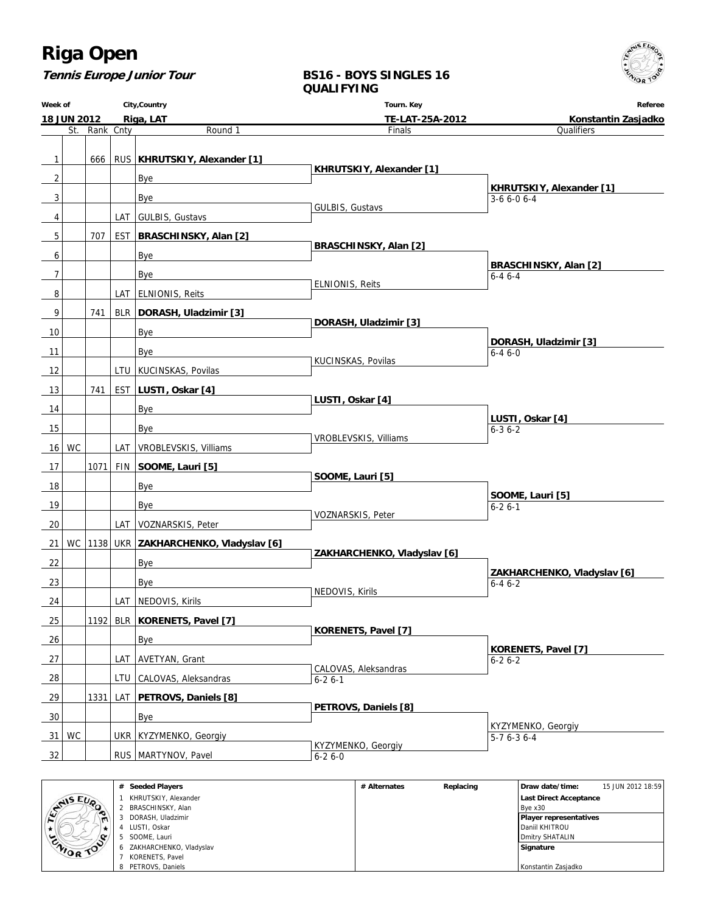**Tennis Europe Junior Tour**

#### **BS16 - BOYS SINGLES 16 QUALIFYING**

| City, Country<br>Week of            |         |     |  |                                               | Tourn. Key                           | Referee                                     |  |  |
|-------------------------------------|---------|-----|--|-----------------------------------------------|--------------------------------------|---------------------------------------------|--|--|
| <b>18 JUN 2012</b><br>St. Rank Cnty |         |     |  | Riga, LAT                                     | TE-LAT-25A-2012                      | Konstantin Zasjadko                         |  |  |
|                                     |         |     |  | Round 1                                       | Finals                               | Qualifiers                                  |  |  |
| $\overline{1}$                      |         | 666 |  | RUS   KHRUTSKIY, Alexander [1]                |                                      |                                             |  |  |
| $\overline{2}$                      |         |     |  | Bye                                           | KHRUTSKIY, Alexander [1]             |                                             |  |  |
|                                     |         |     |  |                                               |                                      | KHRUTSKIY, Alexander [1]                    |  |  |
| 3                                   |         |     |  | Bye                                           | GULBIS, Gustavs                      | $3-66-06-4$                                 |  |  |
| 4                                   |         |     |  | LAT   GULBIS, Gustavs                         |                                      |                                             |  |  |
| 5                                   |         | 707 |  | EST   BRASCHINSKY, Alan [2]                   | BRASCHINSKY, Alan [2]                |                                             |  |  |
| 6                                   |         |     |  | Bye                                           |                                      | BRASCHINSKY, Alan [2]                       |  |  |
| $\overline{7}$                      |         |     |  | Bye                                           |                                      | $6 - 46 - 4$                                |  |  |
| 8                                   |         |     |  | LAT   ELNIONIS, Reits                         | <b>ELNIONIS, Reits</b>               |                                             |  |  |
| 9                                   |         | 741 |  | BLR DORASH, Uladzimir [3]                     |                                      |                                             |  |  |
| 10                                  |         |     |  | Bye                                           | DORASH, Uladzimir [3]                |                                             |  |  |
| 11                                  |         |     |  | Bye                                           |                                      | DORASH, Uladzimir [3]<br>$6 - 46 - 0$       |  |  |
| 12                                  |         |     |  | LTU   KUCINSKAS, Povilas                      | KUCINSKAS, Povilas                   |                                             |  |  |
| 13                                  |         | 741 |  | EST   LUSTI, Oskar [4]                        |                                      |                                             |  |  |
| 14                                  |         |     |  | Bye                                           | LUSTI, Oskar [4]                     |                                             |  |  |
| 15                                  |         |     |  |                                               |                                      | LUSTI, Oskar [4]                            |  |  |
|                                     |         |     |  | Bye                                           | VROBLEVSKIS, Villiams                | $6 - 36 - 2$                                |  |  |
|                                     | $16$ WC |     |  | LAT   VROBLEVSKIS, Villiams                   |                                      |                                             |  |  |
| 17                                  |         |     |  | 1071 FIN SOOME, Lauri [5]                     | SOOME, Lauri [5]                     |                                             |  |  |
| 18                                  |         |     |  | Bye                                           |                                      | SOOME, Lauri [5]                            |  |  |
| 19                                  |         |     |  | Bye                                           | VOZNARSKIS, Peter                    | $6 - 26 - 1$                                |  |  |
| 20                                  |         |     |  | LAT   VOZNARSKIS, Peter                       |                                      |                                             |  |  |
| 21                                  |         |     |  | WC   1138   UKR   ZAKHARCHENKO, Vladyslav [6] | ZAKHARCHENKO, Vladyslav [6]          |                                             |  |  |
| 22                                  |         |     |  | Bye                                           |                                      |                                             |  |  |
| 23                                  |         |     |  | Bye                                           |                                      | ZAKHARCHENKO, Vladyslav [6]<br>$6 - 46 - 2$ |  |  |
| 24                                  |         |     |  | LAT   NEDOVIS, Kirils                         | NEDOVIS, Kirils                      |                                             |  |  |
| 25                                  |         |     |  | 1192 BLR   KORENETS, Pavel [7]                |                                      |                                             |  |  |
| 26                                  |         |     |  | Bye                                           | <b>KORENETS, Pavel [7]</b>           |                                             |  |  |
| 27                                  |         |     |  | LAT   AVETYAN, Grant                          |                                      | <b>KORENETS, Pavel [7]</b><br>$6 - 26 - 2$  |  |  |
| 28                                  |         |     |  | LTU CALOVAS, Aleksandras                      | CALOVAS, Aleksandras<br>$6 - 26 - 1$ |                                             |  |  |
| 29                                  |         |     |  | 1331 LAT <b>PETROVS</b> , Daniels [8]         |                                      |                                             |  |  |
|                                     |         |     |  |                                               | PETROVS, Daniels [8]                 |                                             |  |  |
| 30                                  |         |     |  | Bye                                           |                                      | KYZYMENKO, Georgiy                          |  |  |
| 31                                  | WC      |     |  | UKR   KYZYMENKO, Georgiy                      | KYZYMENKO, Georgiy                   | $\overline{5-76-36-4}$                      |  |  |
| 32                                  |         |     |  | RUS   MARTYNOV, Pavel                         | $6 - 26 - 0$                         |                                             |  |  |
|                                     |         |     |  | # Seeded Players                              | # Alternates<br>Replacing            | 15 JUN 2012 18:59<br>Draw date/time:        |  |  |

|                     | <b>Seeded Players</b><br># | # Alternates | Replacing | Draw date/time:               | 15 JUN 2012 18:59 |
|---------------------|----------------------------|--------------|-----------|-------------------------------|-------------------|
| NAIS EUP            | KHRUTSKIY, Alexander       |              |           | Last Direct Acceptance        |                   |
|                     | BRASCHINSKY, Alan          |              |           | Bye x30                       |                   |
| ∼<br>$\blacksquare$ | DORASH, Uladzimir          |              |           | <b>Player representatives</b> |                   |
|                     | LUSTI, Oskar               |              |           | <b>Daniil KHITROU</b>         |                   |
| <b>Q</b>            | SOOME. Lauri               |              |           | Dmitry SHATALIN               |                   |
| WOR TO              | ZAKHARCHENKO, Vladyslav    |              |           | Signature                     |                   |
|                     | KORENETS, Pavel            |              |           |                               |                   |
|                     | 8 PETROVS, Daniels         |              |           | Konstantin Zasjadko           |                   |

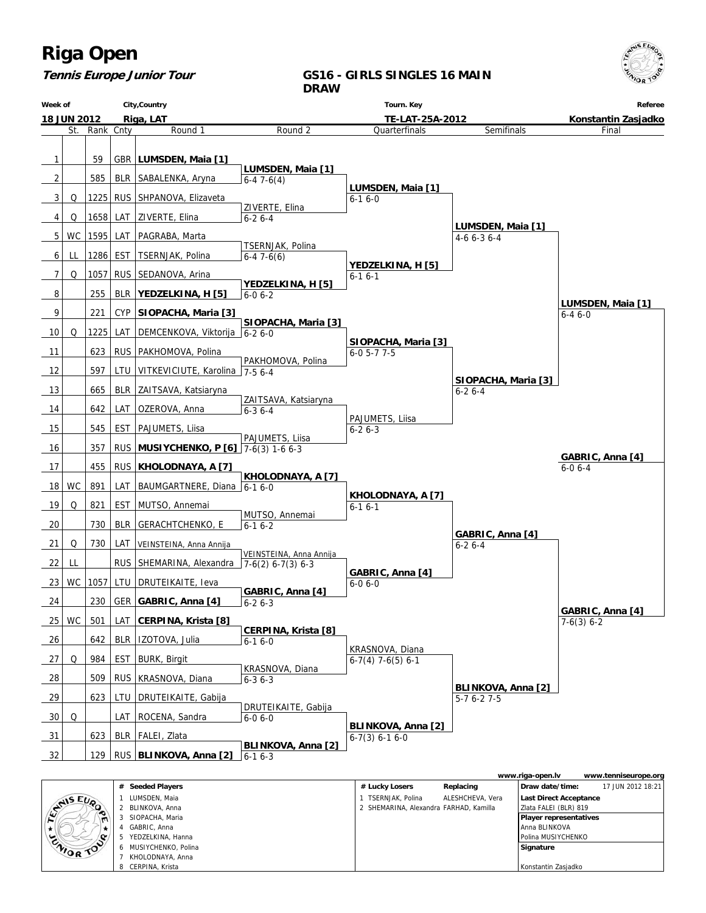

#### **Tennis Europe Junior Tour**

#### **GS16 - GIRLS SINGLES 16 MAIN DRAW**



|                  |    |                     |                                        |                  | www.riga-open.lv              | www.tenniseurope.org |
|------------------|----|---------------------|----------------------------------------|------------------|-------------------------------|----------------------|
|                  |    | # Seeded Players    | # Lucky Losers                         | Replacing        | Draw date/time:               | 17 JUN 2012 18:21    |
| <b>SAMIS EUP</b> |    | LUMSDEN, Maia       | <b>TSERNJAK, Polina</b>                | ALESHCHEVA, Vera | Last Direct Acceptance        |                      |
|                  |    | 2 BLINKOVA, Anna    | 2 SHEMARINA, Alexandra FARHAD, Kamilla |                  | Zlata FALEI (BLR) 819         |                      |
| $\blacksquare$   |    | SIOPACHA, Maria     |                                        |                  | <b>Player representatives</b> |                      |
|                  |    | GABRIC, Anna        |                                        |                  | l Anna BLINKOVA               |                      |
|                  |    | YEDZELKINA, Hanna   |                                        |                  | Polina MUSIYCHENKO            |                      |
| ZIVIOR TOO       | h. | MUSIYCHENKO, Polina |                                        |                  | Signature                     |                      |
|                  |    | KHOLODNAYA, Anna    |                                        |                  |                               |                      |
|                  |    | CERPINA, Krista     |                                        |                  | Konstantin Zasjadko           |                      |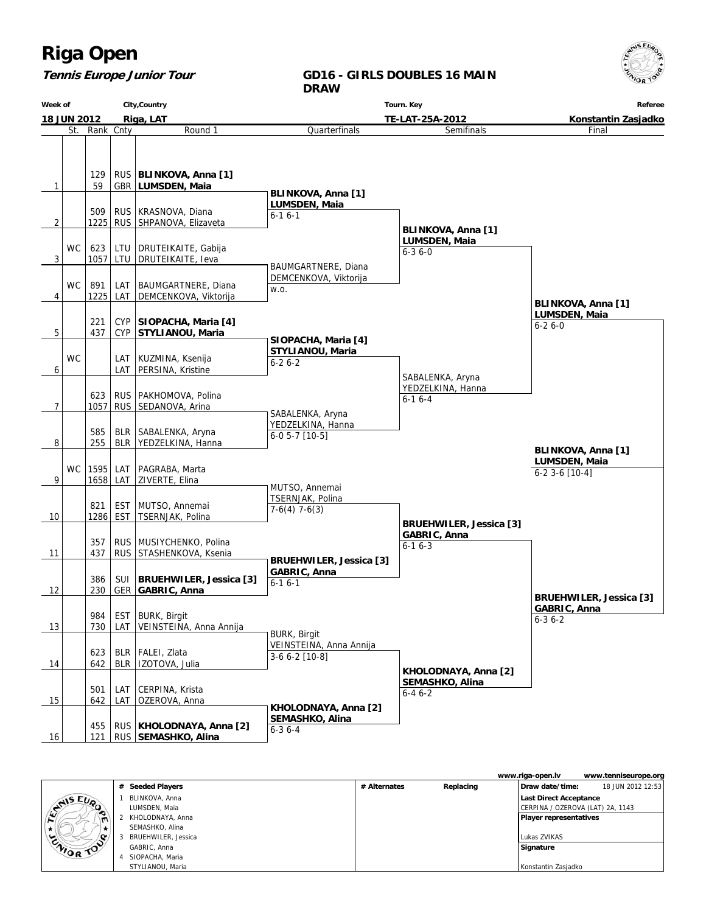#### **Tennis Europe Junior Tour**





|                |                     |              |           | www.riga-open.lv                 | www.tenniseurope.org |
|----------------|---------------------|--------------|-----------|----------------------------------|----------------------|
|                | # Seeded Players    | # Alternates | Replacing | Draw date/time:                  | 18 JUN 2012 12:53    |
|                | BLINKOVA, Anna      |              |           | Last Direct Acceptance           |                      |
| ENNIS EUP<br>∼ | LUMSDEN, Maia       |              |           | CERPINA / OZEROVA (LAT) 2A, 1143 |                      |
| $\blacksquare$ | KHOLODNAYA, Anna    |              |           | <b>Player representatives</b>    |                      |
|                | SEMASHKO, Alina     |              |           |                                  |                      |
| ENIOR TOP      | BRUEHWILER, Jessica |              |           | Lukas ZVIKAS                     |                      |
|                | GABRIC, Anna        |              |           | Signature                        |                      |
|                | SIOPACHA, Maria     |              |           |                                  |                      |
|                | STYLIANOU, Maria    |              |           | Konstantin Zasjadko              |                      |